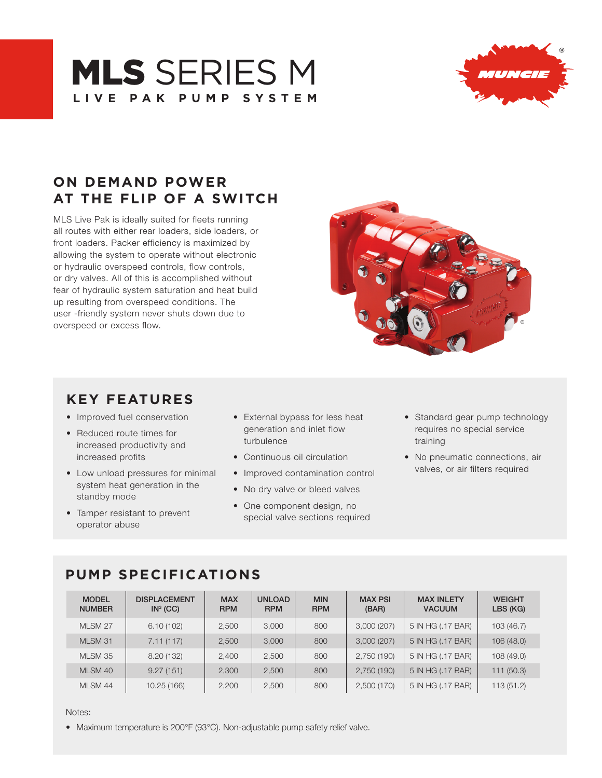# **MLS SERIES M LIVE PAK PUMP SYSTEM**



# **ON DEMAND POWER AT THE FLIP OF A SWITCH**

MLS Live Pak is ideally suited for fleets running all routes with either rear loaders, side loaders, or front loaders. Packer efficiency is maximized by allowing the system to operate without electronic or hydraulic overspeed controls, flow controls, or dry valves. All of this is accomplished without fear of hydraulic system saturation and heat build up resulting from overspeed conditions. The user -friendly system never shuts down due to overspeed or excess flow.



### **KEY FEATURES**

- Improved fuel conservation
- Reduced route times for increased productivity and increased profits
- Low unload pressures for minimal system heat generation in the standby mode
- Tamper resistant to prevent operator abuse
- External bypass for less heat generation and inlet flow turbulence
- Continuous oil circulation
- Improved contamination control
- No dry valve or bleed valves
- One component design, no special valve sections required
- Standard gear pump technology requires no special service training
- No pneumatic connections, air valves, or air filters required

# **PUMP SPECIFICATIONS**

| <b>MODEL</b><br><b>NUMBER</b> | <b>DISPLACEMENT</b><br>IN <sup>3</sup> (CC) | <b>MAX</b><br><b>RPM</b> | <b>UNLOAD</b><br><b>RPM</b> | <b>MIN</b><br><b>RPM</b> | <b>MAX PSI</b><br>(BAR) | <b>MAX INLETY</b><br><b>VACUUM</b> | <b>WEIGHT</b><br>LBS (KG) |
|-------------------------------|---------------------------------------------|--------------------------|-----------------------------|--------------------------|-------------------------|------------------------------------|---------------------------|
| MLSM 27                       | 6.10(102)                                   | 2,500                    | 3,000                       | 800                      | 3,000(207)              | 5 IN HG (.17 BAR)                  | 103(46.7)                 |
| MLSM 31                       | 7.11(117)                                   | 2,500                    | 3,000                       | 800                      | 3,000(207)              | 5 IN HG (.17 BAR)                  | 106(48.0)                 |
| MLSM 35                       | 8.20 (132)                                  | 2,400                    | 2,500                       | 800                      | 2,750 (190)             | 5 IN HG (.17 BAR)                  | 108 (49.0)                |
| MLSM 40                       | 9.27(151)                                   | 2,300                    | 2,500                       | 800                      | 2,750 (190)             | 5 IN HG (.17 BAR)                  | 111(50.3)                 |
| <b>MLSM 44</b>                | 10.25 (166)                                 | 2,200                    | 2,500                       | 800                      | 2,500 (170)             | 5 IN HG (.17 BAR)                  | 113(51.2)                 |

Notes:

• Maximum temperature is 200°F (93°C). Non-adjustable pump safety relief valve.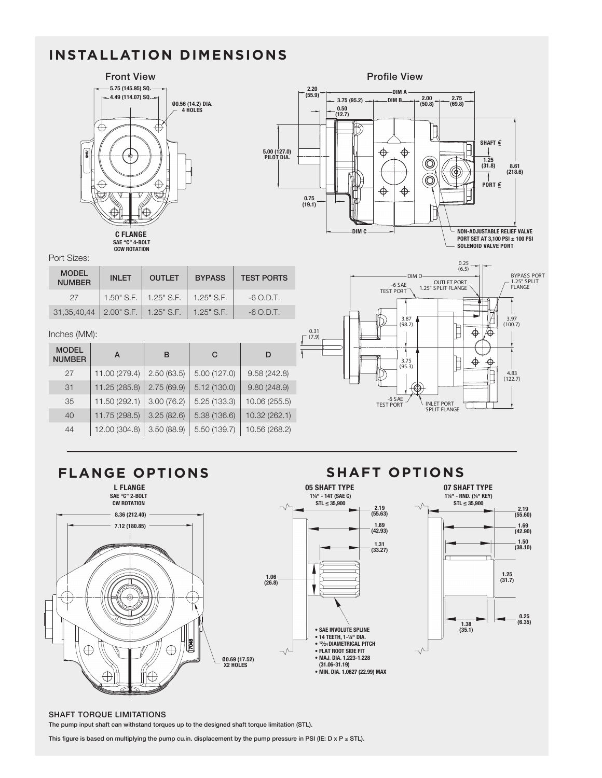# **INSTALLATION DIMENSIONS**



#### Port Sizes:

| <b>MODEL</b><br><b>NUMBER</b> | <b>INLET</b> |                                 | <b>BYPASS</b> | <b>TEST PORTS</b> |  |
|-------------------------------|--------------|---------------------------------|---------------|-------------------|--|
| 27                            |              | $1.50"$ S.F. $\vert$ 1.25" S.F. | $1.25"$ S.F.  | $-6$ O.D.T.       |  |
| 31, 35, 40, 44                |              | 2.00" S.F.   1.25" S.F.         | $1.25"$ S.F.  | $-6$ O.D.T.       |  |

#### Inches (MM):

|  | <b>MODEL</b><br><b>NUMBER</b> | A             | в          | C           | D             |
|--|-------------------------------|---------------|------------|-------------|---------------|
|  | 27                            | 11.00 (279.4) | 2.50(63.5) | 5.00(127.0) | 9.58(242.8)   |
|  | 31                            | 11.25 (285.8) | 2.75(69.9) | 5.12(130.0) | 9.80(248.9)   |
|  | 35                            | 11.50 (292.1) | 3.00(76.2) | 5.25(133.3) | 10.06 (255.5) |
|  | 40                            | 11.75 (298.5) | 3.25(82.6) | 5.38(136.6) | 10.32 (262.1) |
|  | 44                            | 12.00 (304.8) | 3.50(88.9) | 5.50(139.7) | 10.56 (268.2) |







#### **07 SHAFT TYPE** 1-1/4" - RND. (1/4" KEY) **1¼" - RND. (¼" KEY) STL ≤ 35,900**



#### SHAFT TORQUE LIMITATIONS The pump input shaft can withstand torques up to the designed shaft torque limitation (STL).

This figure is based on multiplying the pump cu.in. displacement by the pump pressure in PSI (IE: D x P ≤ STL).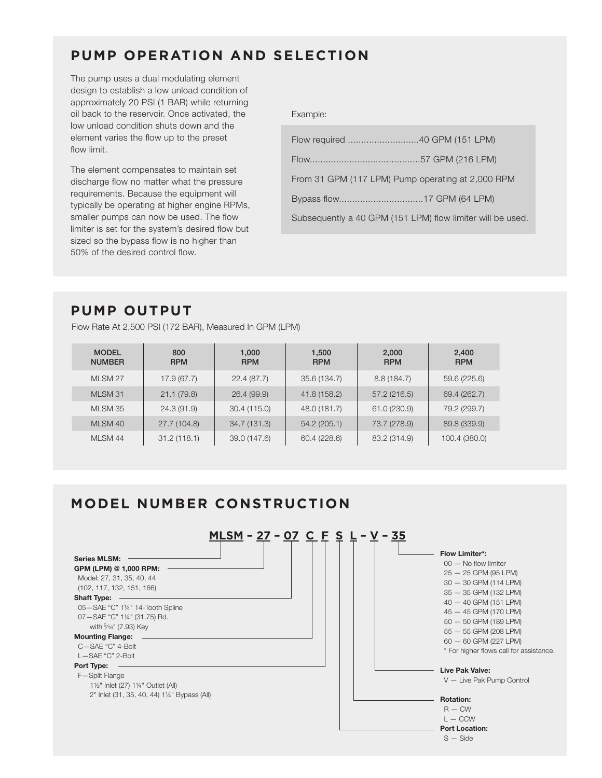### **PUMP OPERATION AND SELECTION**

The pump uses a dual modulating element design to establish a low unload condition of approximately 20 PSI (1 BAR) while returning oil back to the reservoir. Once activated, the low unload condition shuts down and the element varies the flow up to the preset flow limit.

The element compensates to maintain set discharge flow no matter what the pressure requirements. Because the equipment will typically be operating at higher engine RPMs, smaller pumps can now be used. The flow limiter is set for the system's desired flow but sized so the bypass flow is no higher than 50% of the desired control flow.

Example:

| From 31 GPM (117 LPM) Pump operating at 2,000 RPM          |  |  |  |  |
|------------------------------------------------------------|--|--|--|--|
|                                                            |  |  |  |  |
| Subsequently a 40 GPM (151 LPM) flow limiter will be used. |  |  |  |  |

# **PUMP OUTPUT**

Flow Rate At 2,500 PSI (172 BAR), Measured In GPM (LPM)

| <b>MODEL</b><br><b>NUMBER</b> | 800<br><b>RPM</b> | 1,000<br><b>RPM</b> | 1,500<br><b>RPM</b> | 2,000<br><b>RPM</b> | 2,400<br><b>RPM</b> |
|-------------------------------|-------------------|---------------------|---------------------|---------------------|---------------------|
| MLSM 27                       | 17.9(67.7)        | 22.4(87.7)          | 35.6 (134.7)        | 8.8(184.7)          | 59.6 (225.6)        |
| MLSM 31                       | 21.1(79.8)        | 26.4 (99.9)         | 41.8 (158.2)        | 57.2(216.5)         | 69.4 (262.7)        |
| MLSM 35                       | 24.3 (91.9)       | 30.4 (115.0)        | 48.0 (181.7)        | 61.0 (230.9)        | 79.2 (299.7)        |
| MLSM 40                       | 27.7 (104.8)      | 34.7 (131.3)        | 54.2 (205.1)        | 73.7 (278.9)        | 89.8 (339.9)        |
| MLSM 44                       | 31.2(118.1)       | 39.0 (147.6)        | 60.4 (228.6)        | 83.2 (314.9)        | 100.4 (380.0)       |

### **MODEL NUMBER CONSTRUCTION**